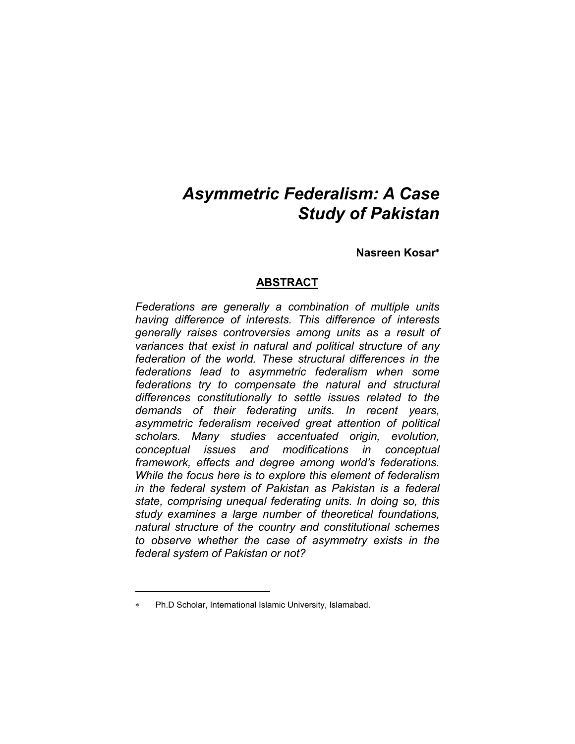# *Asymmetric Federalism: A Case Study of Pakistan*

**Nasreen Kosar**

# **ABSTRACT**

*Federations are generally a combination of multiple units having difference of interests. This difference of interests generally raises controversies among units as a result of variances that exist in natural and political structure of any federation of the world. These structural differences in the federations lead to asymmetric federalism when some federations try to compensate the natural and structural differences constitutionally to settle issues related to the demands of their federating units. In recent years, asymmetric federalism received great attention of political scholars. Many studies accentuated origin, evolution, conceptual issues and modifications in conceptual framework, effects and degree among world's federations. While the focus here is to explore this element of federalism in the federal system of Pakistan as Pakistan is a federal state, comprising unequal federating units. In doing so, this study examines a large number of theoretical foundations, natural structure of the country and constitutional schemes to observe whether the case of asymmetry exists in the federal system of Pakistan or not?* 

<u>.</u>

Ph.D Scholar, International Islamic University, Islamabad.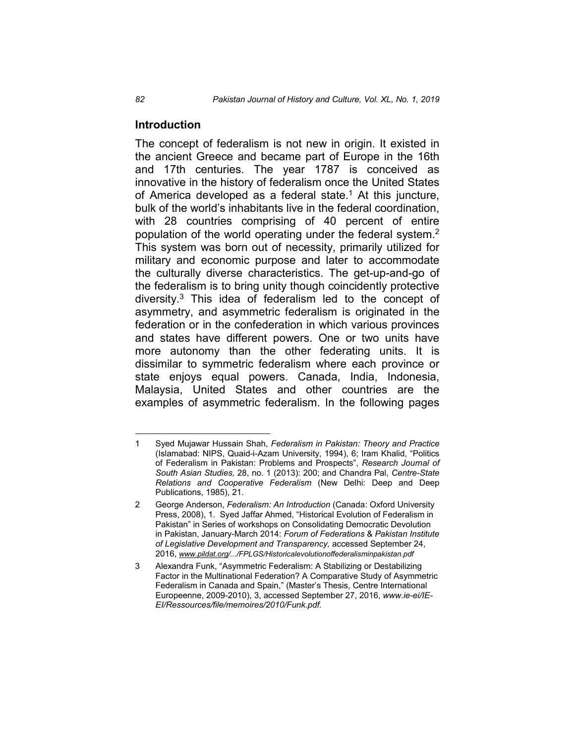## **Introduction**

The concept of federalism is not new in origin. It existed in the ancient Greece and became part of Europe in the 16th and 17th centuries. The year 1787 is conceived as innovative in the history of federalism once the United States of America developed as a federal state.<sup>1</sup> At this juncture, bulk of the world's inhabitants live in the federal coordination, with 28 countries comprising of 40 percent of entire population of the world operating under the federal system.<sup>2</sup> This system was born out of necessity, primarily utilized for military and economic purpose and later to accommodate the culturally diverse characteristics. The get-up-and-go of the federalism is to bring unity though coincidently protective diversity.3 This idea of federalism led to the concept of asymmetry, and asymmetric federalism is originated in the federation or in the confederation in which various provinces and states have different powers. One or two units have more autonomy than the other federating units. It is dissimilar to symmetric federalism where each province or state enjoys equal powers. Canada, India, Indonesia, Malaysia, United States and other countries are the examples of asymmetric federalism. In the following pages

 <sup>1</sup> Syed Mujawar Hussain Shah, *Federalism in Pakistan: Theory and Practice* (Islamabad: NIPS, Quaid-i-Azam University, 1994), 6; Iram Khalid, "Politics of Federalism in Pakistan: Problems and Prospects", *Research Journal of South Asian Studies,* 28, no. 1 (2013): 200; and Chandra Pal, *Centre-State Relations and Cooperative Federalism* (New Delhi: Deep and Deep Publications, 1985), 21.

<sup>2</sup> George Anderson, *Federalism: An Introduction* (Canada: Oxford University Press, 2008), 1. Syed Jaffar Ahmed, "Historical Evolution of Federalism in Pakistan" in Series of workshops on Consolidating Democratic Devolution in Pakistan, January-March 2014: *Forum of Federations* & *Pakistan Institute of Legislative Development and Transparency,* accessed September 24, 2016, *www.pildat.org/.../FPLGS/Historicalevolutionoffederalisminpakistan.pdf*

<sup>3</sup> Alexandra Funk, "Asymmetric Federalism: A Stabilizing or Destabilizing Factor in the Multinational Federation? A Comparative Study of Asymmetric Federalism in Canada and Spain," (Master's Thesis, Centre International Europeenne, 2009-2010), 3, accessed September 27, 2016, *www.ie-ei/IE-EI/Ressources/file/memoires/2010/Funk.pdf.*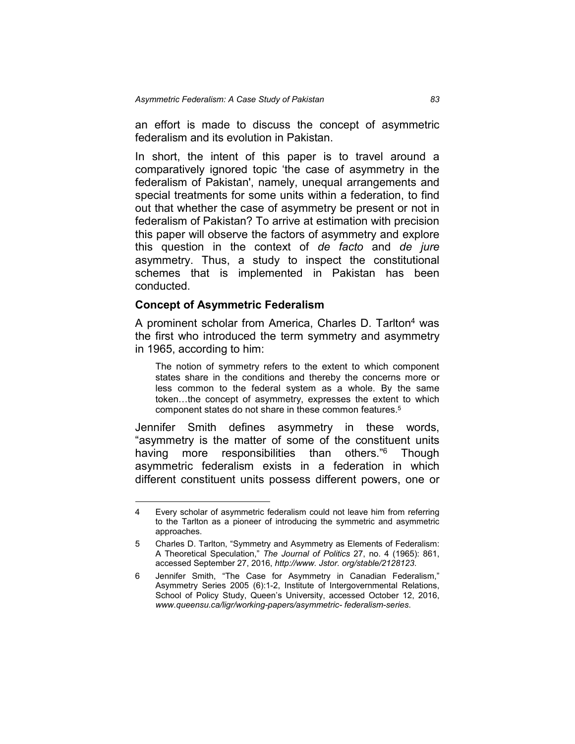an effort is made to discuss the concept of asymmetric federalism and its evolution in Pakistan.

In short, the intent of this paper is to travel around a comparatively ignored topic 'the case of asymmetry in the federalism of Pakistan', namely, unequal arrangements and special treatments for some units within a federation, to find out that whether the case of asymmetry be present or not in federalism of Pakistan? To arrive at estimation with precision this paper will observe the factors of asymmetry and explore this question in the context of *de facto* and *de jure* asymmetry. Thus, a study to inspect the constitutional schemes that is implemented in Pakistan has been conducted.

#### **Concept of Asymmetric Federalism**

A prominent scholar from America, Charles D. Tarlton<sup>4</sup> was the first who introduced the term symmetry and asymmetry in 1965, according to him:

The notion of symmetry refers to the extent to which component states share in the conditions and thereby the concerns more or less common to the federal system as a whole. By the same token…the concept of asymmetry, expresses the extent to which component states do not share in these common features.5

Jennifer Smith defines asymmetry in these words, "asymmetry is the matter of some of the constituent units having more responsibilities than others.<sup>"6</sup> Though asymmetric federalism exists in a federation in which different constituent units possess different powers, one or

 <sup>4</sup> Every scholar of asymmetric federalism could not leave him from referring to the Tarlton as a pioneer of introducing the symmetric and asymmetric approaches.

<sup>5</sup> Charles D. Tarlton, "Symmetry and Asymmetry as Elements of Federalism: A Theoretical Speculation," *The Journal of Politics* 27, no. 4 (1965): 861, accessed September 27, 2016, *http://www. Jstor. org/stable/2128123*.

<sup>6</sup> Jennifer Smith, "The Case for Asymmetry in Canadian Federalism," Asymmetry Series 2005 (6):1-2, Institute of Intergovernmental Relations, School of Policy Study, Queen's University, accessed October 12, 2016, *www.queensu.ca/ligr/working-papers/asymmetric- federalism-series*.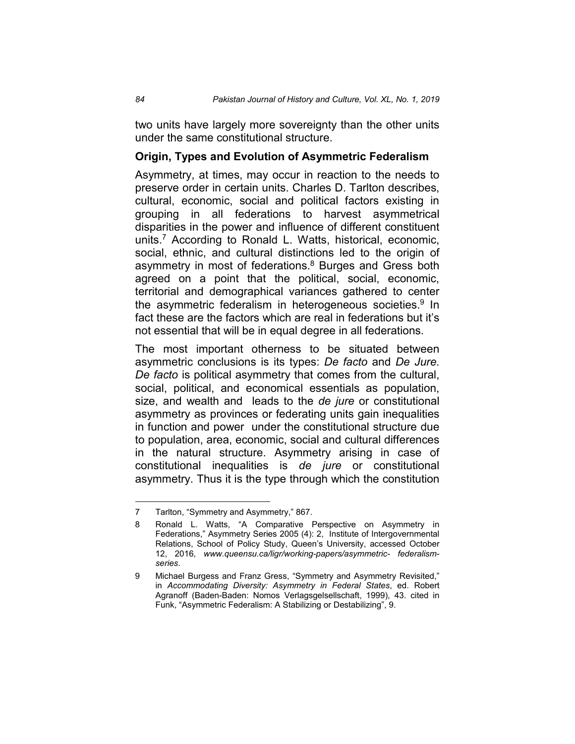two units have largely more sovereignty than the other units under the same constitutional structure.

#### **Origin, Types and Evolution of Asymmetric Federalism**

Asymmetry, at times, may occur in reaction to the needs to preserve order in certain units. Charles D. Tarlton describes, cultural, economic, social and political factors existing in grouping in all federations to harvest asymmetrical disparities in the power and influence of different constituent units.7 According to Ronald L. Watts, historical, economic, social, ethnic, and cultural distinctions led to the origin of asymmetry in most of federations.<sup>8</sup> Burges and Gress both agreed on a point that the political, social, economic, territorial and demographical variances gathered to center the asymmetric federalism in heterogeneous societies. $9 \text{ In}$ fact these are the factors which are real in federations but it's not essential that will be in equal degree in all federations.

The most important otherness to be situated between asymmetric conclusions is its types: *De facto* and *De Jure*. *De facto* is political asymmetry that comes from the cultural, social, political, and economical essentials as population, size, and wealth and leads to the *de jure* or constitutional asymmetry as provinces or federating units gain inequalities in function and power under the constitutional structure due to population, area, economic, social and cultural differences in the natural structure. Asymmetry arising in case of constitutional inequalities is *de jure* or constitutional asymmetry. Thus it is the type through which the constitution

 <sup>7</sup> Tarlton, "Symmetry and Asymmetry," 867.

<sup>8</sup> Ronald L. Watts, "A Comparative Perspective on Asymmetry in Federations," Asymmetry Series 2005 (4): 2, Institute of Intergovernmental Relations, School of Policy Study, Queen's University, accessed October 12, 2016, *www.queensu.ca/ligr/working-papers/asymmetric- federalismseries*.

<sup>9</sup> Michael Burgess and Franz Gress, "Symmetry and Asymmetry Revisited," in *Accommodating Diversity: Asymmetry in Federal States*, ed. Robert Agranoff (Baden-Baden: Nomos Verlagsgelsellschaft, 1999), 43. cited in Funk, "Asymmetric Federalism: A Stabilizing or Destabilizing", 9.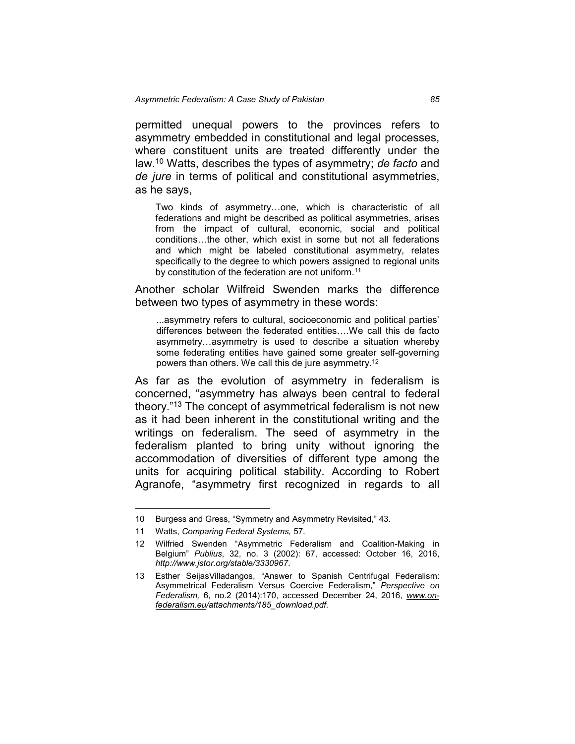permitted unequal powers to the provinces refers to asymmetry embedded in constitutional and legal processes, where constituent units are treated differently under the law.10 Watts, describes the types of asymmetry; *de facto* and *de jure* in terms of political and constitutional asymmetries, as he says,

Two kinds of asymmetry…one, which is characteristic of all federations and might be described as political asymmetries, arises from the impact of cultural, economic, social and political conditions…the other, which exist in some but not all federations and which might be labeled constitutional asymmetry, relates specifically to the degree to which powers assigned to regional units by constitution of the federation are not uniform.<sup>11</sup>

Another scholar Wilfreid Swenden marks the difference between two types of asymmetry in these words:

...asymmetry refers to cultural, socioeconomic and political parties' differences between the federated entities….We call this de facto asymmetry…asymmetry is used to describe a situation whereby some federating entities have gained some greater self-governing powers than others. We call this de jure asymmetry.12

As far as the evolution of asymmetry in federalism is concerned, "asymmetry has always been central to federal theory."13 The concept of asymmetrical federalism is not new as it had been inherent in the constitutional writing and the writings on federalism. The seed of asymmetry in the federalism planted to bring unity without ignoring the accommodation of diversities of different type among the units for acquiring political stability. According to Robert Agranofe, "asymmetry first recognized in regards to all

 <sup>10</sup> Burgess and Gress, "Symmetry and Asymmetry Revisited," 43.

<sup>11</sup> Watts, *Comparing Federal Systems,* 57.

<sup>12</sup> Wilfried Swenden "Asymmetric Federalism and Coalition-Making in Belgium" *Publius*, 32, no. 3 (2002): 67, accessed: October 16, 2016, *http://www.jstor.org/stable/3330967*.

<sup>13</sup> Esther SeijasVilladangos, "Answer to Spanish Centrifugal Federalism: Asymmetrical Federalism Versus Coercive Federalism," *Perspective on Federalism,* 6, no.2 (2014):170, accessed December 24, 2016, *www.onfederalism.eu/attachments/185\_download.pdf*.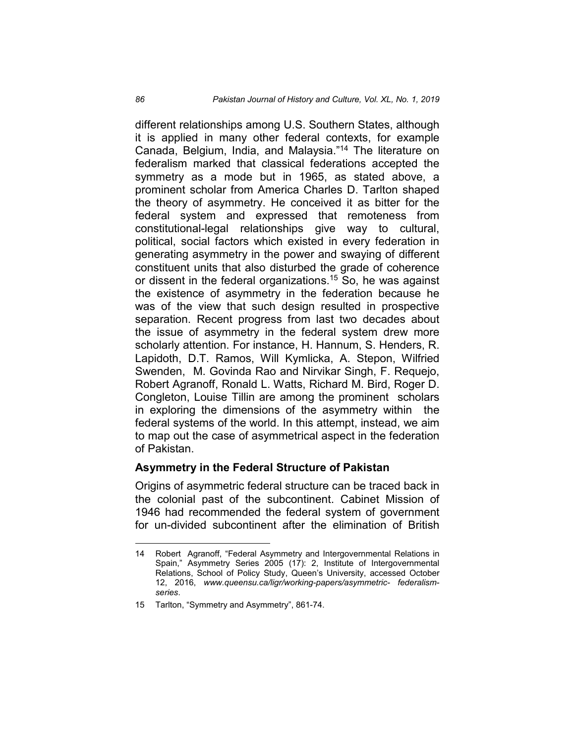different relationships among U.S. Southern States, although it is applied in many other federal contexts, for example Canada, Belgium, India, and Malaysia."14 The literature on federalism marked that classical federations accepted the symmetry as a mode but in 1965, as stated above, a prominent scholar from America Charles D. Tarlton shaped the theory of asymmetry. He conceived it as bitter for the federal system and expressed that remoteness from constitutional-legal relationships give way to cultural, political, social factors which existed in every federation in generating asymmetry in the power and swaying of different constituent units that also disturbed the grade of coherence or dissent in the federal organizations.15 So, he was against the existence of asymmetry in the federation because he was of the view that such design resulted in prospective separation. Recent progress from last two decades about the issue of asymmetry in the federal system drew more scholarly attention. For instance, H. Hannum, S. Henders, R. Lapidoth, D.T. Ramos, Will Kymlicka, A. Stepon, Wilfried Swenden, M. Govinda Rao and Nirvikar Singh, F. Requejo, Robert Agranoff, Ronald L. Watts, Richard M. Bird, Roger D. Congleton, Louise Tillin are among the prominent scholars in exploring the dimensions of the asymmetry within the federal systems of the world. In this attempt, instead, we aim to map out the case of asymmetrical aspect in the federation of Pakistan.

#### **Asymmetry in the Federal Structure of Pakistan**

Origins of asymmetric federal structure can be traced back in the colonial past of the subcontinent. Cabinet Mission of 1946 had recommended the federal system of government for un-divided subcontinent after the elimination of British

 <sup>14</sup> Robert Agranoff, "Federal Asymmetry and Intergovernmental Relations in Spain," Asymmetry Series 2005 (17): 2, Institute of Intergovernmental Relations, School of Policy Study, Queen's University, accessed October 12, 2016, *www.queensu.ca/ligr/working-papers/asymmetric- federalismseries*.

<sup>15</sup> Tarlton, "Symmetry and Asymmetry", 861-74.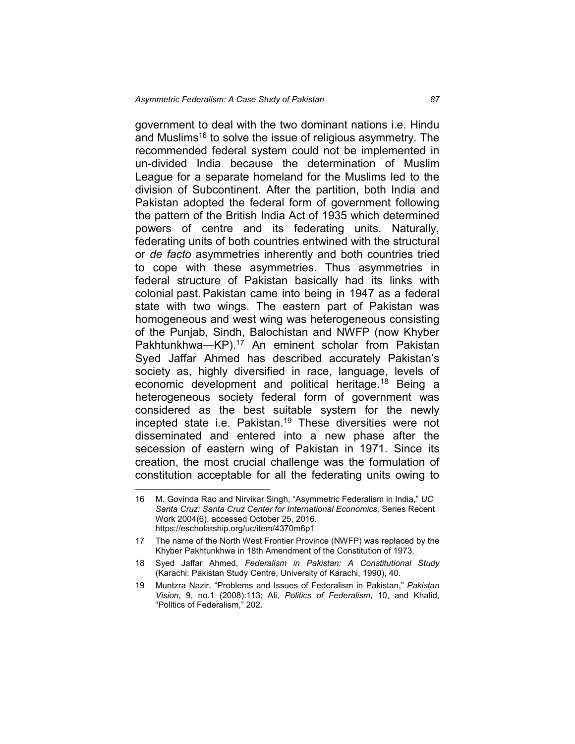government to deal with the two dominant nations i.e. Hindu and Muslims<sup>16</sup> to solve the issue of religious asymmetry. The recommended federal system could not be implemented in un-divided India because the determination of Muslim League for a separate homeland for the Muslims led to the division of Subcontinent. After the partition, both India and Pakistan adopted the federal form of government following the pattern of the British India Act of 1935 which determined powers of centre and its federating units. Naturally, federating units of both countries entwined with the structural or *de facto* asymmetries inherently and both countries tried to cope with these asymmetries. Thus asymmetries in federal structure of Pakistan basically had its links with colonial past.Pakistan came into being in 1947 as a federal state with two wings. The eastern part of Pakistan was homogeneous and west wing was heterogeneous consisting of the Punjab, Sindh, Balochistan and NWFP (now Khyber Pakhtunkhwa—KP).<sup>17</sup> An eminent scholar from Pakistan Syed Jaffar Ahmed has described accurately Pakistan's society as, highly diversified in race, language, levels of economic development and political heritage.18 Being a heterogeneous society federal form of government was considered as the best suitable system for the newly incepted state i.e. Pakistan. <sup>19</sup> These diversities were not disseminated and entered into a new phase after the secession of eastern wing of Pakistan in 1971. Since its creation, the most crucial challenge was the formulation of constitution acceptable for all the federating units owing to

 <sup>16</sup> M. Govinda Rao and Nirvikar Singh, "Asymmetric Federalism in India," *UC Santa Cruz: Santa Cruz Center for International Economics,* Series Recent Work 2004(6), accessed October 25, 2016. https://escholarship.org/uc/item/4370m6p1

<sup>17</sup> The name of the North West Frontier Province (NWFP) was replaced by the Khyber Pakhtunkhwa in 18th Amendment of the Constitution of 1973.

<sup>18</sup> Syed Jaffar Ahmed, *Federalism in Pakistan: A Constitutional Study* (Karachi: Pakistan Study Centre, University of Karachi, 1990), 40.

<sup>19</sup> Muntzra Nazir, "Problems and Issues of Federalism in Pakistan," *Pakistan Vision*, 9, no.1 (2008):113; Ali, *Politics of Federalism*, 10, and Khalid, "Politics of Federalism," 202.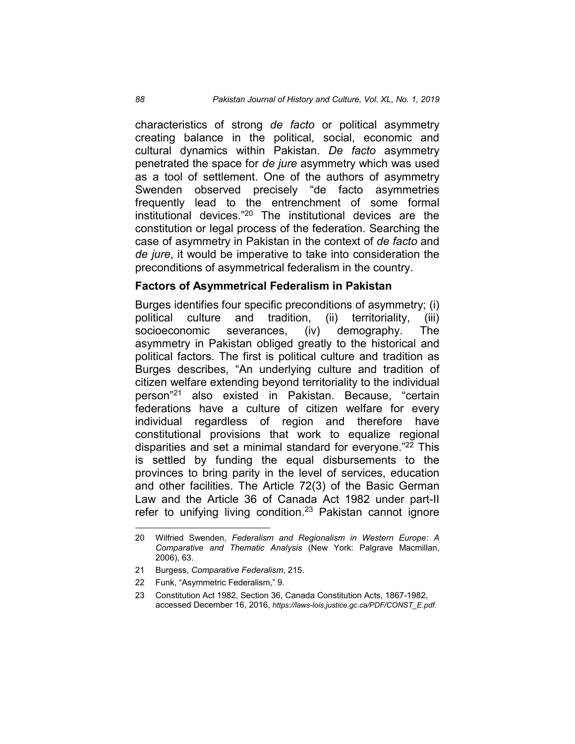characteristics of strong *de facto* or political asymmetry creating balance in the political, social, economic and cultural dynamics within Pakistan. *De facto* asymmetry penetrated the space for *de jure* asymmetry which was used as a tool of settlement. One of the authors of asymmetry Swenden observed precisely "de facto asymmetries frequently lead to the entrenchment of some formal institutional devices." <sup>20</sup> The institutional devices are the constitution or legal process of the federation. Searching the case of asymmetry in Pakistan in the context of *de facto* and *de jure*, it would be imperative to take into consideration the preconditions of asymmetrical federalism in the country.

#### **Factors of Asymmetrical Federalism in Pakistan**

Burges identifies four specific preconditions of asymmetry; (i) political culture and tradition, (ii) territoriality, (iii) socioeconomic severances, (iv) demography. The asymmetry in Pakistan obliged greatly to the historical and political factors. The first is political culture and tradition as Burges describes, "An underlying culture and tradition of citizen welfare extending beyond territoriality to the individual person"21 also existed in Pakistan. Because, "certain federations have a culture of citizen welfare for every individual regardless of region and therefore have constitutional provisions that work to equalize regional disparities and set a minimal standard for everyone." <sup>22</sup> This is settled by funding the equal disbursements to the provinces to bring parity in the level of services, education and other facilities. The Article 72(3) of the Basic German Law and the Article 36 of Canada Act 1982 under part-II refer to unifying living condition.<sup>23</sup> Pakistan cannot ignore

 <sup>20</sup> Wilfried Swenden, *Federalism and Regionalism in Western Europe: A Comparative and Thematic Analysis* (New York: Palgrave Macmillan, 2006), 63.

<sup>21</sup> Burgess, *Comparative Federalism*, 215.

<sup>22</sup> Funk, "Asymmetric Federalism," 9.

<sup>23</sup> Constitution Act 1982, Section 36, Canada Constitution Acts, 1867-1982, accessed December 16, 2016, *https://laws-lois.justice.gc.ca/PDF/CONST\_E.pdf*.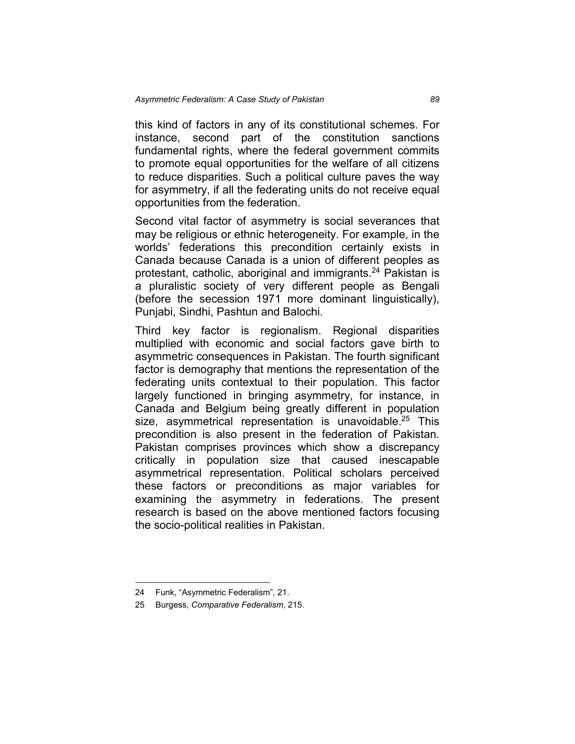this kind of factors in any of its constitutional schemes. For instance, second part of the constitution sanctions fundamental rights, where the federal government commits to promote equal opportunities for the welfare of all citizens to reduce disparities. Such a political culture paves the way for asymmetry, if all the federating units do not receive equal opportunities from the federation.

Second vital factor of asymmetry is social severances that may be religious or ethnic heterogeneity. For example, in the worlds' federations this precondition certainly exists in Canada because Canada is a union of different peoples as protestant, catholic, aboriginal and immigrants. <sup>24</sup> Pakistan is a pluralistic society of very different people as Bengali (before the secession 1971 more dominant linguistically), Punjabi, Sindhi, Pashtun and Balochi.

Third key factor is regionalism. Regional disparities multiplied with economic and social factors gave birth to asymmetric consequences in Pakistan. The fourth significant factor is demography that mentions the representation of the federating units contextual to their population. This factor largely functioned in bringing asymmetry, for instance, in Canada and Belgium being greatly different in population size, asymmetrical representation is unavoidable. <sup>25</sup> This precondition is also present in the federation of Pakistan. Pakistan comprises provinces which show a discrepancy critically in population size that caused inescapable asymmetrical representation. Political scholars perceived these factors or preconditions as major variables for examining the asymmetry in federations. The present research is based on the above mentioned factors focusing the socio-political realities in Pakistan.

 <sup>24</sup> Funk, "Asymmetric Federalism", 21.

<sup>25</sup> Burgess, *Comparative Federalism*, 215.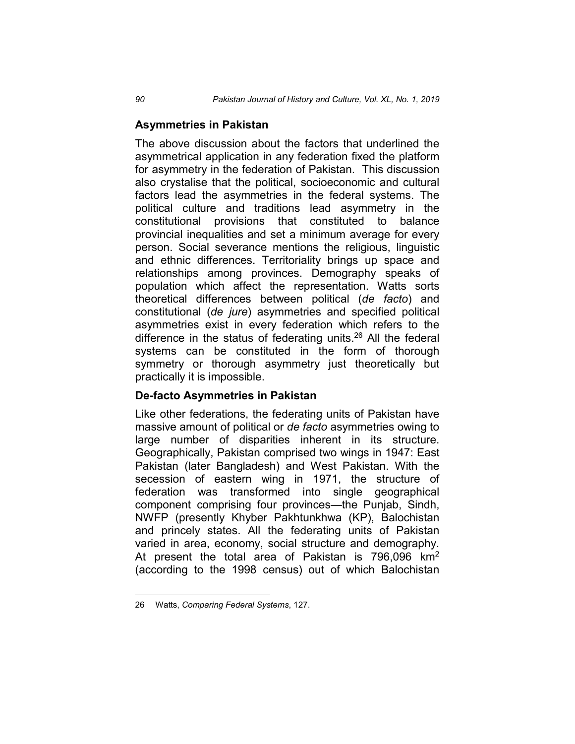## **Asymmetries in Pakistan**

The above discussion about the factors that underlined the asymmetrical application in any federation fixed the platform for asymmetry in the federation of Pakistan. This discussion also crystalise that the political, socioeconomic and cultural factors lead the asymmetries in the federal systems. The political culture and traditions lead asymmetry in the constitutional provisions that constituted to balance provincial inequalities and set a minimum average for every person. Social severance mentions the religious, linguistic and ethnic differences. Territoriality brings up space and relationships among provinces. Demography speaks of population which affect the representation. Watts sorts theoretical differences between political (*de facto*) and constitutional (*de jure*) asymmetries and specified political asymmetries exist in every federation which refers to the difference in the status of federating units. <sup>26</sup> All the federal systems can be constituted in the form of thorough symmetry or thorough asymmetry just theoretically but practically it is impossible.

# **De-facto Asymmetries in Pakistan**

Like other federations, the federating units of Pakistan have massive amount of political or *de facto* asymmetries owing to large number of disparities inherent in its structure. Geographically, Pakistan comprised two wings in 1947: East Pakistan (later Bangladesh) and West Pakistan. With the secession of eastern wing in 1971, the structure of federation was transformed into single geographical component comprising four provinces—the Punjab, Sindh, NWFP (presently Khyber Pakhtunkhwa (KP), Balochistan and princely states. All the federating units of Pakistan varied in area, economy, social structure and demography. At present the total area of Pakistan is 796,096  $km<sup>2</sup>$ (according to the 1998 census) out of which Balochistan

 <sup>26</sup> Watts, *Comparing Federal Systems*, 127.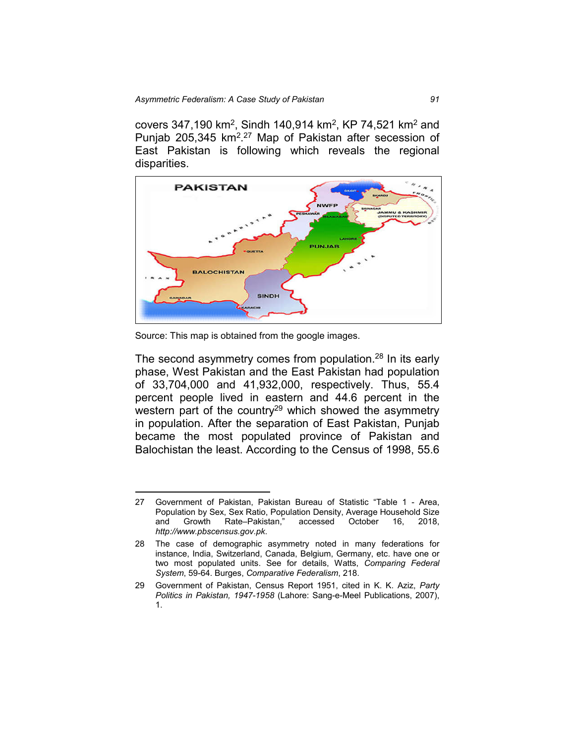covers 347,190 km<sup>2</sup>, Sindh 140,914 km<sup>2</sup>, KP 74,521 km<sup>2</sup> and Punjab 205,345 km<sup>2,27</sup> Map of Pakistan after secession of East Pakistan is following which reveals the regional disparities.



Source: This map is obtained from the google images.

The second asymmetry comes from population.<sup>28</sup> In its early phase, West Pakistan and the East Pakistan had population of 33,704,000 and 41,932,000, respectively. Thus, 55.4 percent people lived in eastern and 44.6 percent in the western part of the country<sup>29</sup> which showed the asymmetry in population. After the separation of East Pakistan, Punjab became the most populated province of Pakistan and Balochistan the least. According to the Census of 1998, 55.6

 <sup>27</sup> Government of Pakistan, Pakistan Bureau of Statistic "Table 1 - Area, Population by Sex, Sex Ratio, Population Density, Average Household Size and Growth Rate–Pakistan," accessed October 16, 2018, *http://www.pbscensus.gov.pk*.

<sup>28</sup> The case of demographic asymmetry noted in many federations for instance, India, Switzerland, Canada, Belgium, Germany, etc. have one or two most populated units. See for details, Watts, *Comparing Federal System*, 59-64. Burges, *Comparative Federalism*, 218.

<sup>29</sup> Government of Pakistan, Census Report 1951, cited in K. K. Aziz, *Party Politics in Pakistan, 1947-1958* (Lahore: Sang-e-Meel Publications, 2007), 1.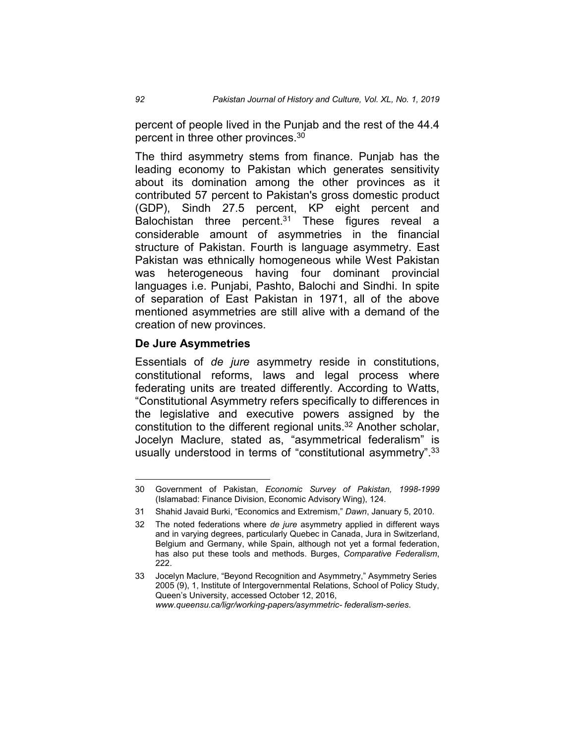percent of people lived in the Punjab and the rest of the 44.4 percent in three other provinces. 30

The third asymmetry stems from finance. Punjab has the leading economy to Pakistan which generates sensitivity about its domination among the other provinces as it contributed 57 percent to Pakistan's gross domestic product (GDP), Sindh 27.5 percent, KP eight percent and Balochistan three percent. <sup>31</sup> These figures reveal a considerable amount of asymmetries in the financial structure of Pakistan. Fourth is language asymmetry. East Pakistan was ethnically homogeneous while West Pakistan was heterogeneous having four dominant provincial languages i.e. Punjabi, Pashto, Balochi and Sindhi. In spite of separation of East Pakistan in 1971, all of the above mentioned asymmetries are still alive with a demand of the creation of new provinces.

#### **De Jure Asymmetries**

Essentials of *de jure* asymmetry reside in constitutions, constitutional reforms, laws and legal process where federating units are treated differently. According to Watts, "Constitutional Asymmetry refers specifically to differences in the legislative and executive powers assigned by the constitution to the different regional units.32 Another scholar, Jocelyn Maclure, stated as, "asymmetrical federalism" is usually understood in terms of "constitutional asymmetry".<sup>33</sup>

 <sup>30</sup> Government of Pakistan, *Economic Survey of Pakistan, 1998-1999* (Islamabad: Finance Division, Economic Advisory Wing), 124.

<sup>31</sup> Shahid Javaid Burki, "Economics and Extremism," *Dawn*, January 5, 2010.

<sup>32</sup> The noted federations where *de jure* asymmetry applied in different ways and in varying degrees, particularly Quebec in Canada, Jura in Switzerland, Belgium and Germany, while Spain, although not yet a formal federation, has also put these tools and methods. Burges, *Comparative Federalism*, 222.

<sup>33</sup> Jocelyn Maclure, "Beyond Recognition and Asymmetry," Asymmetry Series 2005 (9), 1, Institute of Intergovernmental Relations, School of Policy Study, Queen's University, accessed October 12, 2016, *www.queensu.ca/ligr/working-papers/asymmetric- federalism-series*.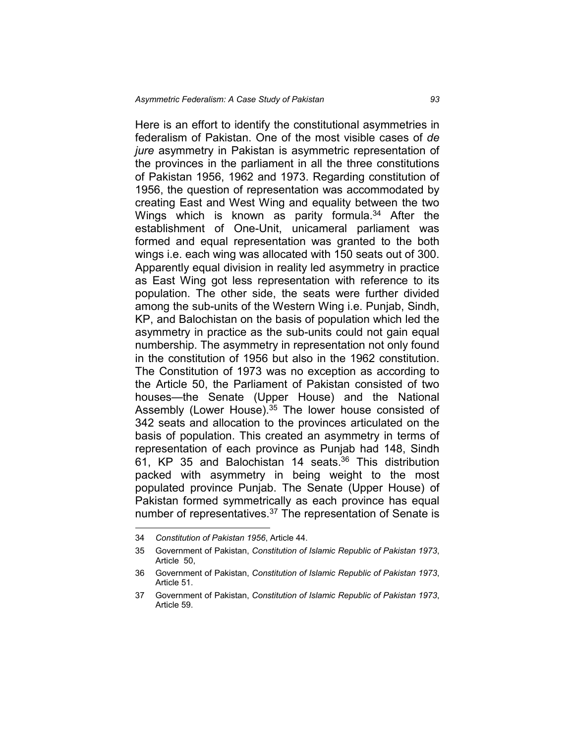Here is an effort to identify the constitutional asymmetries in federalism of Pakistan. One of the most visible cases of *de jure* asymmetry in Pakistan is asymmetric representation of the provinces in the parliament in all the three constitutions of Pakistan 1956, 1962 and 1973. Regarding constitution of 1956, the question of representation was accommodated by creating East and West Wing and equality between the two Wings which is known as parity formula. <sup>34</sup> After the establishment of One-Unit, unicameral parliament was formed and equal representation was granted to the both wings i.e. each wing was allocated with 150 seats out of 300. Apparently equal division in reality led asymmetry in practice as East Wing got less representation with reference to its population. The other side, the seats were further divided among the sub-units of the Western Wing i.e. Punjab, Sindh, KP, and Balochistan on the basis of population which led the asymmetry in practice as the sub-units could not gain equal numbership. The asymmetry in representation not only found in the constitution of 1956 but also in the 1962 constitution. The Constitution of 1973 was no exception as according to the Article 50, the Parliament of Pakistan consisted of two houses—the Senate (Upper House) and the National Assembly (Lower House).<sup>35</sup> The lower house consisted of 342 seats and allocation to the provinces articulated on the basis of population. This created an asymmetry in terms of representation of each province as Punjab had 148, Sindh 61, KP 35 and Balochistan 14 seats. <sup>36</sup> This distribution packed with asymmetry in being weight to the most populated province Punjab. The Senate (Upper House) of Pakistan formed symmetrically as each province has equal number of representatives.<sup>37</sup> The representation of Senate is

 <sup>34</sup> *Constitution of Pakistan 1956*, Article 44.

<sup>35</sup> Government of Pakistan, *Constitution of Islamic Republic of Pakistan 1973*, Article 50,

<sup>36</sup> Government of Pakistan, *Constitution of Islamic Republic of Pakistan 1973*, Article 51.

<sup>37</sup> Government of Pakistan, *Constitution of Islamic Republic of Pakistan 1973*, Article 59.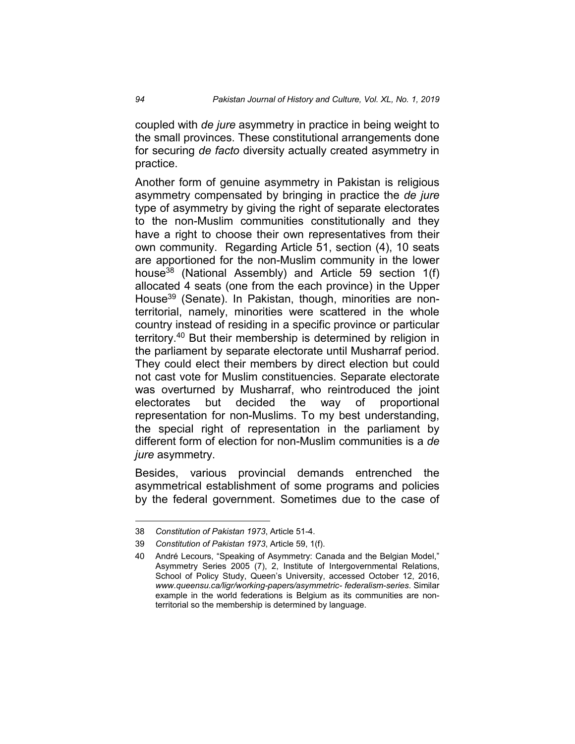coupled with *de jure* asymmetry in practice in being weight to the small provinces. These constitutional arrangements done for securing *de facto* diversity actually created asymmetry in practice.

Another form of genuine asymmetry in Pakistan is religious asymmetry compensated by bringing in practice the *de jure* type of asymmetry by giving the right of separate electorates to the non-Muslim communities constitutionally and they have a right to choose their own representatives from their own community. Regarding Article 51, section (4), 10 seats are apportioned for the non-Muslim community in the lower house38 (National Assembly) and Article 59 section 1(f) allocated 4 seats (one from the each province) in the Upper House<sup>39</sup> (Senate). In Pakistan, though, minorities are nonterritorial, namely, minorities were scattered in the whole country instead of residing in a specific province or particular territory. <sup>40</sup> But their membership is determined by religion in the parliament by separate electorate until Musharraf period. They could elect their members by direct election but could not cast vote for Muslim constituencies. Separate electorate was overturned by Musharraf, who reintroduced the joint electorates but decided the way of proportional representation for non-Muslims. To my best understanding, the special right of representation in the parliament by different form of election for non-Muslim communities is a *de jure* asymmetry.

Besides, various provincial demands entrenched the asymmetrical establishment of some programs and policies by the federal government. Sometimes due to the case of

 <sup>38</sup> *Constitution of Pakistan 1973*, Article 51-4.

<sup>39</sup> *Constitution of Pakistan 1973*, Article 59, 1(f).

<sup>40</sup> André Lecours, "Speaking of Asymmetry: Canada and the Belgian Model," Asymmetry Series 2005 (7), 2, Institute of Intergovernmental Relations, School of Policy Study, Queen's University, accessed October 12, 2016, *www.queensu.ca/ligr/working-papers/asymmetric- federalism-series*. Similar example in the world federations is Belgium as its communities are nonterritorial so the membership is determined by language.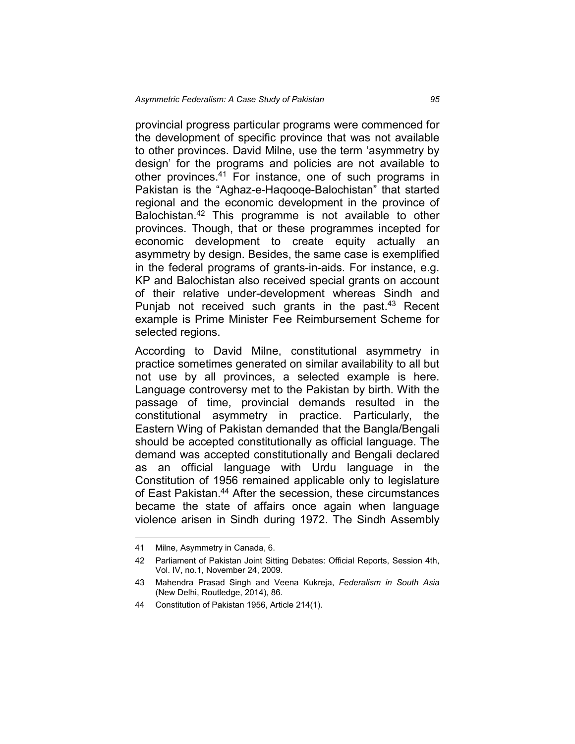provincial progress particular programs were commenced for the development of specific province that was not available to other provinces. David Milne, use the term 'asymmetry by design' for the programs and policies are not available to other provinces.<sup>41</sup> For instance, one of such programs in Pakistan is the "Aghaz-e-Haqooqe-Balochistan" that started regional and the economic development in the province of Balochistan.42 This programme is not available to other provinces. Though, that or these programmes incepted for economic development to create equity actually an asymmetry by design. Besides, the same case is exemplified in the federal programs of grants-in-aids. For instance, e.g. KP and Balochistan also received special grants on account of their relative under-development whereas Sindh and Punjab not received such grants in the past. $43$  Recent example is Prime Minister Fee Reimbursement Scheme for selected regions.

According to David Milne, constitutional asymmetry in practice sometimes generated on similar availability to all but not use by all provinces, a selected example is here. Language controversy met to the Pakistan by birth. With the passage of time, provincial demands resulted in the constitutional asymmetry in practice. Particularly, the Eastern Wing of Pakistan demanded that the Bangla/Bengali should be accepted constitutionally as official language. The demand was accepted constitutionally and Bengali declared as an official language with Urdu language in the Constitution of 1956 remained applicable only to legislature of East Pakistan.44 After the secession, these circumstances became the state of affairs once again when language violence arisen in Sindh during 1972. The Sindh Assembly

 <sup>41</sup> Milne, Asymmetry in Canada, 6.

<sup>42</sup> Parliament of Pakistan Joint Sitting Debates: Official Reports, Session 4th, Vol. IV, no.1, November 24, 2009.

<sup>43</sup> Mahendra Prasad Singh and Veena Kukreja, *Federalism in South Asia* (New Delhi, Routledge, 2014), 86.

<sup>44</sup> Constitution of Pakistan 1956, Article 214(1).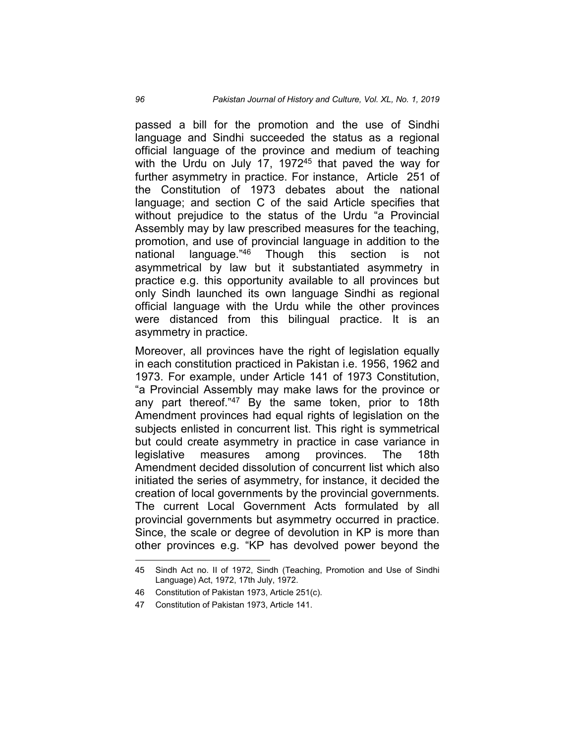passed a bill for the promotion and the use of Sindhi language and Sindhi succeeded the status as a regional official language of the province and medium of teaching with the Urdu on July 17, 1972<sup>45</sup> that paved the way for further asymmetry in practice. For instance, Article 251 of the Constitution of 1973 debates about the national language; and section C of the said Article specifies that without prejudice to the status of the Urdu "a Provincial Assembly may by law prescribed measures for the teaching, promotion, and use of provincial language in addition to the national language."<sup>46</sup> Though this section is not asymmetrical by law but it substantiated asymmetry in practice e.g. this opportunity available to all provinces but only Sindh launched its own language Sindhi as regional official language with the Urdu while the other provinces were distanced from this bilingual practice. It is an asymmetry in practice.

Moreover, all provinces have the right of legislation equally in each constitution practiced in Pakistan i.e. 1956, 1962 and 1973. For example, under Article 141 of 1973 Constitution, "a Provincial Assembly may make laws for the province or any part thereof."47 By the same token, prior to 18th Amendment provinces had equal rights of legislation on the subjects enlisted in concurrent list. This right is symmetrical but could create asymmetry in practice in case variance in legislative measures among provinces. The 18th Amendment decided dissolution of concurrent list which also initiated the series of asymmetry, for instance, it decided the creation of local governments by the provincial governments. The current Local Government Acts formulated by all provincial governments but asymmetry occurred in practice. Since, the scale or degree of devolution in KP is more than other provinces e.g. "KP has devolved power beyond the

 <sup>45</sup> Sindh Act no. II of 1972, Sindh (Teaching, Promotion and Use of Sindhi Language) Act, 1972, 17th July, 1972.

<sup>46</sup> Constitution of Pakistan 1973, Article 251(c).

<sup>47</sup> Constitution of Pakistan 1973, Article 141.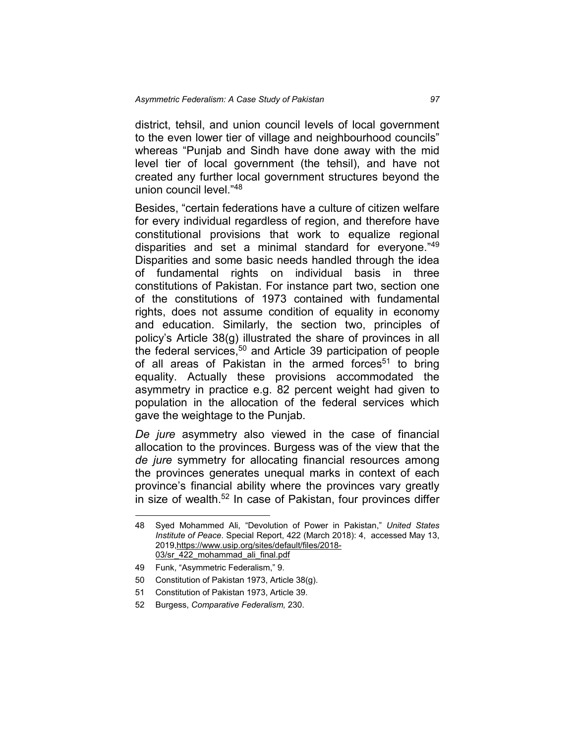district, tehsil, and union council levels of local government to the even lower tier of village and neighbourhood councils" whereas "Punjab and Sindh have done away with the mid level tier of local government (the tehsil), and have not created any further local government structures beyond the union council level."48

Besides, "certain federations have a culture of citizen welfare for every individual regardless of region, and therefore have constitutional provisions that work to equalize regional disparities and set a minimal standard for everyone."49 Disparities and some basic needs handled through the idea of fundamental rights on individual basis in three constitutions of Pakistan. For instance part two, section one of the constitutions of 1973 contained with fundamental rights, does not assume condition of equality in economy and education. Similarly, the section two, principles of policy's Article 38(g) illustrated the share of provinces in all the federal services, <sup>50</sup> and Article 39 participation of people of all areas of Pakistan in the armed forces<sup>51</sup> to bring equality. Actually these provisions accommodated the asymmetry in practice e.g. 82 percent weight had given to population in the allocation of the federal services which gave the weightage to the Punjab.

*De jure* asymmetry also viewed in the case of financial allocation to the provinces. Burgess was of the view that the *de jure* symmetry for allocating financial resources among the provinces generates unequal marks in context of each province's financial ability where the provinces vary greatly in size of wealth.<sup>52</sup> In case of Pakistan, four provinces differ

 <sup>48</sup> Syed Mohammed Ali, "Devolution of Power in Pakistan," *United States Institute of Peace*. Special Report, 422 (March 2018): 4, accessed May 13, 2019,https://www.usip.org/sites/default/files/2018- 03/sr\_422\_mohammad\_ali\_final.pdf

<sup>49</sup> Funk, "Asymmetric Federalism," 9.

<sup>50</sup> Constitution of Pakistan 1973, Article 38(g).

<sup>51</sup> Constitution of Pakistan 1973, Article 39.

<sup>52</sup> Burgess, *Comparative Federalism,* 230.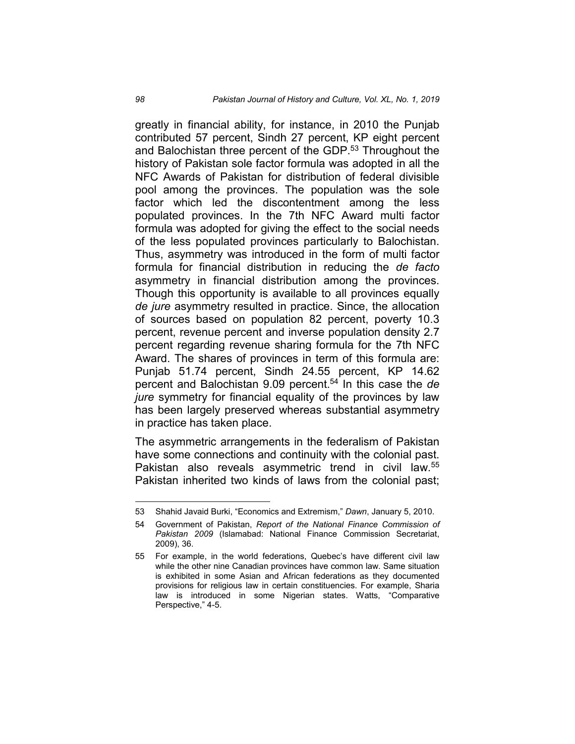greatly in financial ability, for instance, in 2010 the Punjab contributed 57 percent, Sindh 27 percent, KP eight percent and Balochistan three percent of the GDP.<sup>53</sup> Throughout the history of Pakistan sole factor formula was adopted in all the NFC Awards of Pakistan for distribution of federal divisible pool among the provinces. The population was the sole factor which led the discontentment among the less populated provinces. In the 7th NFC Award multi factor formula was adopted for giving the effect to the social needs of the less populated provinces particularly to Balochistan. Thus, asymmetry was introduced in the form of multi factor formula for financial distribution in reducing the *de facto* asymmetry in financial distribution among the provinces. Though this opportunity is available to all provinces equally *de jure* asymmetry resulted in practice. Since, the allocation of sources based on population 82 percent, poverty 10.3 percent, revenue percent and inverse population density 2.7 percent regarding revenue sharing formula for the 7th NFC Award. The shares of provinces in term of this formula are: Punjab 51.74 percent, Sindh 24.55 percent, KP 14.62 percent and Balochistan 9.09 percent. <sup>54</sup> In this case the *de jure* symmetry for financial equality of the provinces by law has been largely preserved whereas substantial asymmetry in practice has taken place.

The asymmetric arrangements in the federalism of Pakistan have some connections and continuity with the colonial past. Pakistan also reveals asymmetric trend in civil law.<sup>55</sup> Pakistan inherited two kinds of laws from the colonial past;

 <sup>53</sup> Shahid Javaid Burki, "Economics and Extremism," *Dawn*, January 5, 2010.

<sup>54</sup> Government of Pakistan, *Report of the National Finance Commission of Pakistan 2009* (Islamabad: National Finance Commission Secretariat, 2009), 36.

<sup>55</sup> For example, in the world federations, Quebec's have different civil law while the other nine Canadian provinces have common law. Same situation is exhibited in some Asian and African federations as they documented provisions for religious law in certain constituencies. For example, Sharia law is introduced in some Nigerian states. Watts, "Comparative Perspective," 4-5.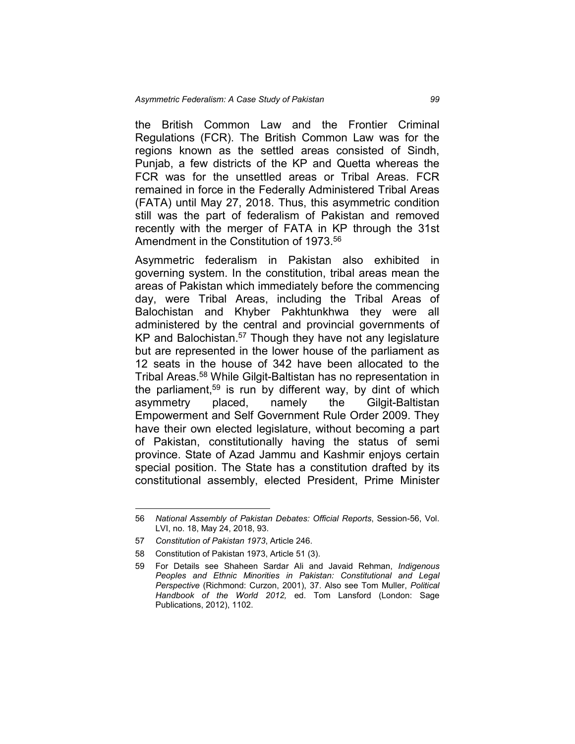the British Common Law and the Frontier Criminal Regulations (FCR). The British Common Law was for the regions known as the settled areas consisted of Sindh, Punjab, a few districts of the KP and Quetta whereas the FCR was for the unsettled areas or Tribal Areas. FCR remained in force in the Federally Administered Tribal Areas (FATA) until May 27, 2018. Thus, this asymmetric condition still was the part of federalism of Pakistan and removed recently with the merger of FATA in KP through the 31st Amendment in the Constitution of 1973.<sup>56</sup>

Asymmetric federalism in Pakistan also exhibited in governing system. In the constitution, tribal areas mean the areas of Pakistan which immediately before the commencing day, were Tribal Areas, including the Tribal Areas of Balochistan and Khyber Pakhtunkhwa they were all administered by the central and provincial governments of KP and Balochistan.<sup>57</sup> Though they have not any legislature but are represented in the lower house of the parliament as 12 seats in the house of 342 have been allocated to the Tribal Areas. <sup>58</sup> While Gilgit-Baltistan has no representation in the parliament,<sup>59</sup> is run by different way, by dint of which asymmetry placed, namely the Gilgit-Baltistan Empowerment and Self Government Rule Order 2009. They have their own elected legislature, without becoming a part of Pakistan, constitutionally having the status of semi province. State of Azad Jammu and Kashmir enjoys certain special position. The State has a constitution drafted by its constitutional assembly, elected President, Prime Minister

 <sup>56</sup> *National Assembly of Pakistan Debates: Official Reports*, Session-56, Vol. LVI, no. 18, May 24, 2018, 93.

<sup>57</sup> *Constitution of Pakistan 1973*, Article 246.

<sup>58</sup> Constitution of Pakistan 1973, Article 51 (3).

<sup>59</sup> For Details see Shaheen Sardar Ali and Javaid Rehman, *Indigenous Peoples and Ethnic Minorities in Pakistan: Constitutional and Legal Perspective* (Richmond: Curzon, 2001), 37. Also see Tom Muller, *Political Handbook of the World 2012,* ed. Tom Lansford (London: Sage Publications, 2012), 1102.